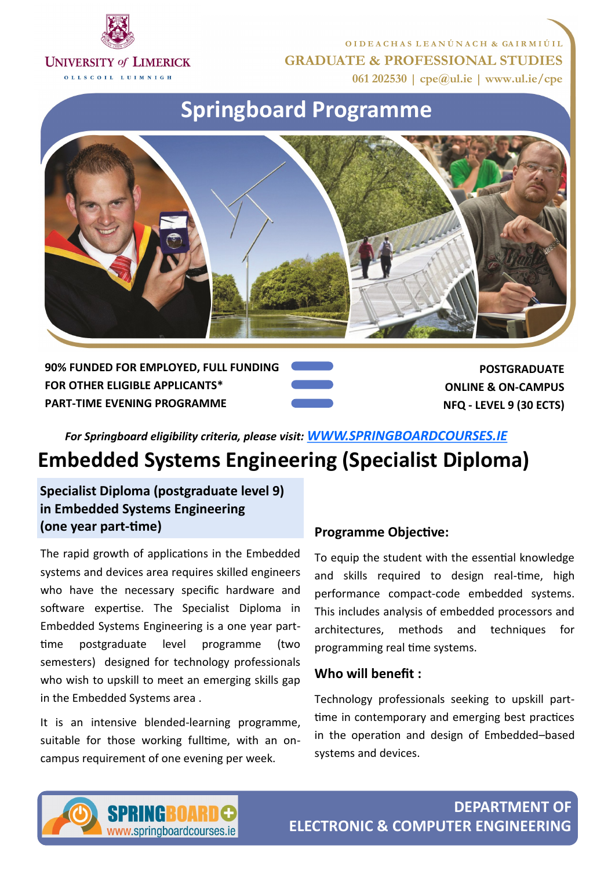

**O I D E A C H A S L E A N Ú N A C H & GA I R M I Ú I L GRADUATE & PROFESSIONAL STUDIES 061 202530 | cpe@ul.ie | www.ul.ie/cpe**

OLLSCOIL LUIMNIGH

# **Springboard Programme**



**90% FUNDED FOR EMPLOYED, FULL FUNDING FOR OTHER ELIGIBLE APPLICANTS\* PART-TIME EVENING PROGRAMME**

**POSTGRADUATE ONLINE & ON-CAMPUS NFQ - LEVEL 9 (30 ECTS)**

*For Springboard eligibility criteria, please visit: [WWW.SPRINGBOARDCOURSES.IE](http://www.springboardcourses.ie)*

# **Embedded Systems Engineering (Specialist Diploma)**

**Specialist Diploma (postgraduate level 9) in Embedded Systems Engineering (one year part-time)**

The rapid growth of applications in the Embedded systems and devices area requires skilled engineers who have the necessary specific hardware and software expertise. The Specialist Diploma in Embedded Systems Engineering is a one year parttime postgraduate level programme (two semesters) designed for technology professionals who wish to upskill to meet an emerging skills gap in the Embedded Systems area .

It is an intensive blended-learning programme, suitable for those working fulltime, with an oncampus requirement of one evening per week.

#### **Programme Objective:**

To equip the student with the essential knowledge and skills required to design real-time, high performance compact-code embedded systems. This includes analysis of embedded processors and architectures, methods and techniques for programming real time systems.

#### **Who will benefit :**

Technology professionals seeking to upskill parttime in contemporary and emerging best practices in the operation and design of Embedded–based systems and devices.